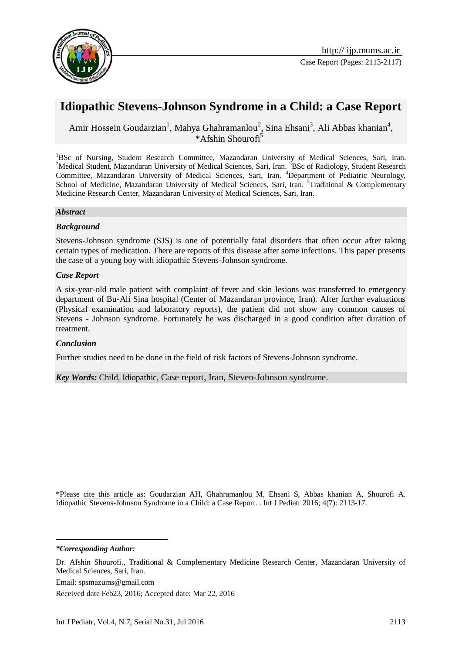

# **Idiopathic Stevens-Johnson Syndrome in a Child: a Case Report**

Amir Hossein Goudarzian<sup>1</sup>, Mahya Ghahramanlou<sup>2</sup>, Sina Ehsani<sup>3</sup>, Ali Abbas khanian<sup>4</sup>,  $*A$ fshin Shourofi<sup>5</sup>

<sup>1</sup>BSc of Nursing, Student Research Committee, Mazandaran University of Medical Sciences, Sari, Iran. <sup>2</sup>Medical Student, Mazandaran University of Medical Sciences, Sari, Iran. <sup>3</sup>BSc of Radiology, Student Research Committee, Mazandaran University of Medical Sciences, Sari, Iran. <sup>4</sup>Department of Pediatric Neurology, School of Medicine, Mazandaran University of Medical Sciences, Sari, Iran. <sup>5</sup>Traditional & Complementary Medicine Research Center, Mazandaran University of Medical Sciences, Sari, Iran.

### *Abstract*

### *Background*

Stevens-Johnson syndrome (SJS) is one of potentially fatal disorders that often occur after taking certain types of medication. There are reports of this disease after some infections. This paper presents the case of a young boy with idiopathic Stevens-Johnson syndrome.

### *Case Report*

A six-year-old male patient with complaint of fever and skin lesions was transferred to emergency department of Bu-Ali Sina hospital (Center of Mazandaran province, Iran). After further evaluations (Physical examination and laboratory reports), the patient did not show any common causes of Stevens - Johnson syndrome. Fortunately he was discharged in a good condition after duration of treatment.

#### *Conclusion*

Further studies need to be done in the field of risk factors of Stevens-Johnson syndrome.

*Key Words:* Child, Idiopathic, Case report, Iran, Steven-Johnson syndrome.

\*Please cite this article as: Goudarzian AH, Ghahramanlou M, Ehsani S, Abbas khanian A, Shourofi A. Idiopathic Stevens-Johnson Syndrome in a Child: a Case Report. . Int J Pediatr 2016; 4(7): 2113-17.

*\*Corresponding Author:*

<u>.</u>

Email: spsmazums@gmail.com

Received date Feb23, 2016; Accepted date: Mar 22, 2016

Dr. Afshin Shourofi., Traditional & Complementary Medicine Research Center, Mazandaran University of Medical Sciences, Sari, Iran.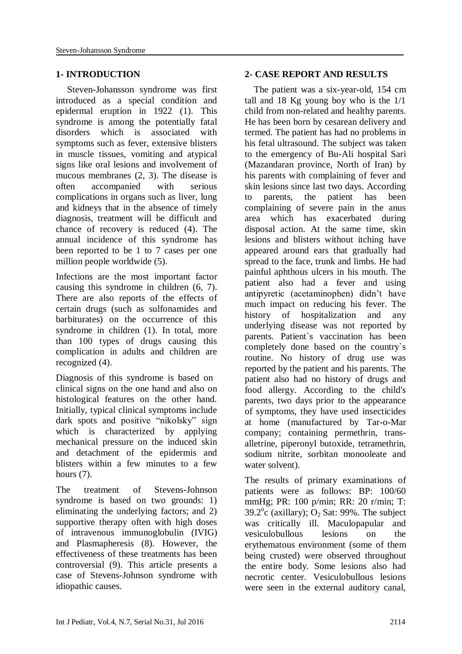# **1- INTRODUCTION**

 Steven-Johansson syndrome was first introduced as a special condition and epidermal eruption in 1922 [\(1\)](#page-3-0). This syndrome is among the potentially fatal disorders which is associated with symptoms such as fever, extensive blisters in muscle tissues, vomiting and atypical signs like oral lesions and involvement of mucous membranes [\(2,](#page-3-1) [3\)](#page-3-2). The disease is often accompanied with serious complications in organs such as liver, lung and kidneys that in the absence of timely diagnosis, treatment will be difficult and chance of recovery is reduced [\(4\)](#page-3-3). The annual incidence of this syndrome has been reported to be 1 to 7 cases per one million people worldwide [\(5\)](#page-3-4).

Infections are the most important factor causing this syndrome in children [\(6,](#page-3-5) [7\)](#page-3-6). There are also reports of the effects of certain drugs (such as sulfonamides and barbiturates) on the occurrence of this syndrome in children [\(1\)](#page-3-0). In total, more than 100 types of drugs causing this complication in adults and children are recognized [\(4\)](#page-3-3).

Diagnosis of this syndrome is based on clinical signs on the one hand and also on histological features on the other hand. Initially, typical clinical symptoms include dark spots and positive "nikolsky" sign which is characterized by applying mechanical pressure on the induced skin and detachment of the epidermis and blisters within a few minutes to a few hours  $(7)$ .

The treatment of Stevens-Johnson syndrome is based on two grounds: 1) eliminating the underlying factors; and 2) supportive therapy often with high doses of intravenous immunoglobulin (IVIG) and Plasmapheresis [\(8\)](#page-3-7). However, the effectiveness of these treatments has been controversial [\(9\)](#page-4-0). This article presents a case of Stevens-Johnson syndrome with idiopathic causes.

## **2- CASE REPORT AND RESULTS**

 The patient was a six-year-old, 154 cm tall and 18 Kg young boy who is the 1/1 child from non-related and healthy parents. He has been born by cesarean delivery and termed. The patient has had no problems in his fetal ultrasound. The subject was taken to the emergency of Bu-Ali hospital Sari (Mazandaran province, North of Iran) by his parents with complaining of fever and skin lesions since last two days. According to parents, the patient has been complaining of severe pain in the anus area which has exacerbated during disposal action. At the same time, skin lesions and blisters without itching have appeared around ears that gradually had spread to the face, trunk and limbs. He had painful aphthous ulcers in his mouth. The patient also had a fever and using antipyretic (acetaminophen) didn't have much impact on reducing his fever. The history of hospitalization and any underlying disease was not reported by parents. Patient`s vaccination has been completely done based on the country`s routine. No history of drug use was reported by the patient and his parents. The patient also had no history of drugs and food allergy. According to the child's parents, two days prior to the appearance of symptoms, they have used insecticides at home (manufactured by Tar-o-Mar company; containing permethrin, transalletrine, piperonyl butoxide, tetramethrin, sodium nitrite, sorbitan monooleate and water solvent).

The results of primary examinations of patients were as follows: BP: 100/60 mmHg; PR: 100 p/min; RR: 20 r/min; T: 39.2 $\degree$ c (axillary);  $O_2$  Sat: 99%. The subject was critically ill. Maculopapular and vesiculobullous lesions on the erythematous environment (some of them being crusted) were observed throughout the entire body. Some lesions also had necrotic center. Vesiculobullous lesions were seen in the external auditory canal,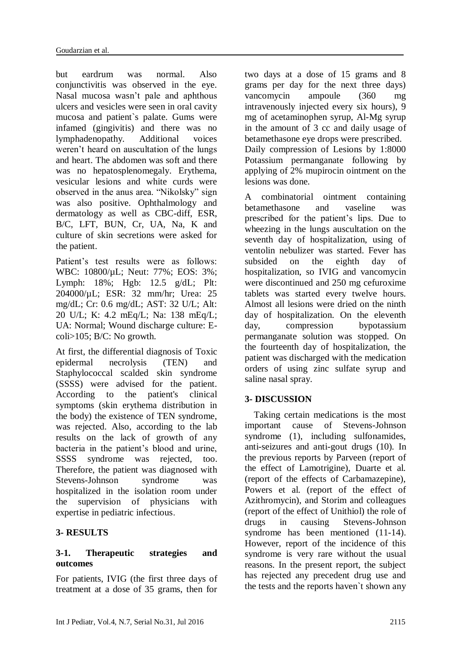but eardrum was normal. Also conjunctivitis was observed in the eye. Nasal mucosa wasn't pale and aphthous ulcers and vesicles were seen in oral cavity mucosa and patient`s palate. Gums were infamed (gingivitis) and there was no lymphadenopathy. Additional voices weren't heard on auscultation of the lungs and heart. The abdomen was soft and there was no hepatosplenomegaly. Erythema, vesicular lesions and white curds were observed in the anus area. "Nikolsky" sign was also positive. Ophthalmology and dermatology as well as CBC-diff, ESR, B/C, LFT, BUN, Cr, UA, Na, K and culture of skin secretions were asked for the patient.

Patient's test results were as follows: WBC: 10800/µL; Neut: 77%; EOS: 3%; Lymph: 18%; Hgb: 12.5 g/dL; Plt: 204000/µL; ESR: 32 mm/hr; Urea: 25 mg/dL; Cr: 0.6 mg/dL; AST: 32 U/L; Alt: 20 U/L; K: 4.2 mEq/L; Na: 138 mEq/L; UA: Normal; Wound discharge culture: Ecoli>105; B/C: No growth.

At first, the differential diagnosis of Toxic epidermal necrolysis (TEN) and Staphylococcal scalded skin syndrome (SSSS) were advised for the patient. According to the patient's clinical symptoms (skin erythema distribution in the body) the existence of TEN syndrome, was rejected. Also, according to the lab results on the lack of growth of any bacteria in the patient's blood and urine, SSSS syndrome was rejected, too. Therefore, the patient was diagnosed with Stevens-Johnson syndrome was hospitalized in the isolation room under the supervision of physicians with expertise in pediatric infectious.

# **3- RESULTS**

# **3-1. Therapeutic strategies and outcomes**

For patients, IVIG (the first three days of treatment at a dose of 35 grams, then for two days at a dose of 15 grams and 8 grams per day for the next three days) vancomycin ampoule (360 mg intravenously injected every six hours), 9 mg of acetaminophen syrup, Al-Mg syrup in the amount of 3 cc and daily usage of betamethasone eye drops were prescribed. Daily compression of Lesions by 1:8000 Potassium permanganate following by applying of 2% mupirocin ointment on the lesions was done.

A combinatorial ointment containing betamethasone and vaseline was prescribed for the patient's lips. Due to wheezing in the lungs auscultation on the seventh day of hospitalization, using of ventolin nebulizer was started. Fever has subsided on the eighth day of hospitalization, so IVIG and vancomycin were discontinued and 250 mg cefuroxime tablets was started every twelve hours. Almost all lesions were dried on the ninth day of hospitalization. On the eleventh day, compression bypotassium permanganate solution was stopped. On the fourteenth day of hospitalization, the patient was discharged with the medication orders of using zinc sulfate syrup and saline nasal spray.

# **3- DISCUSSION**

 Taking certain medications is the most important cause of Stevens-Johnson syndrome [\(1\)](#page-3-0), including sulfonamides, anti-seizures and anti-gout drugs [\(10\)](#page-4-1). In the previous reports by Parveen (report of the effect of Lamotrigine), Duarte et al. (report of the effects of Carbamazepine), Powers et al. (report of the effect of Azithromycin), and Storim and colleagues (report of the effect of Unithiol) the role of drugs in causing Stevens-Johnson syndrome has been mentioned [\(11-14\)](#page-4-2). However, report of the incidence of this syndrome is very rare without the usual reasons. In the present report, the subject has rejected any precedent drug use and the tests and the reports haven`t shown any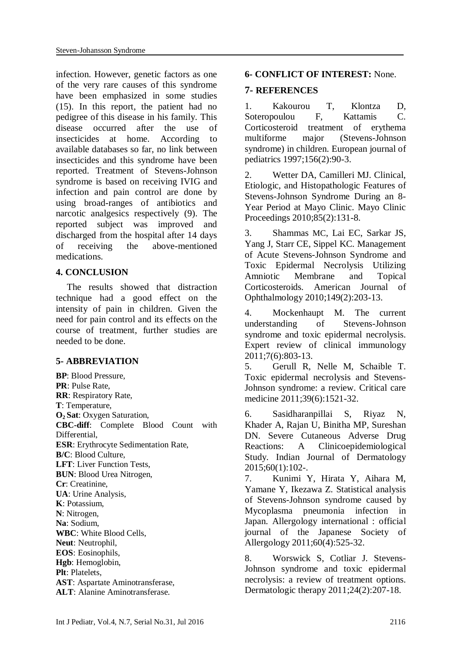infection. However, genetic factors as one of the very rare causes of this syndrome have been emphasized in some studies [\(15\)](#page-4-3). In this report, the patient had no pedigree of this disease in his family. This disease occurred after the use of insecticides at home. According to available databases so far, no link between insecticides and this syndrome have been reported. Treatment of Stevens-Johnson syndrome is based on receiving IVIG and infection and pain control are done by using broad-ranges of antibiotics and narcotic analgesics respectively [\(9\)](#page-4-0). The reported subject was improved and discharged from the hospital after 14 days of receiving the above-mentioned medications.

### **4. CONCLUSION**

The results showed that distraction technique had a good effect on the intensity of pain in children. Given the need for pain control and its effects on the course of treatment, further studies are needed to be done.

### **5- ABBREVIATION**

**BP**: Blood Pressure, **PR**: Pulse Rate, **RR**: Respiratory Rate, **T**: Temperature, **O2 Sat**: Oxygen Saturation, **CBC-diff**: Complete Blood Count with Differential, **ESR**: Erythrocyte Sedimentation Rate, **B/C**: Blood Culture, **LFT**: Liver Function Tests, **BUN**: Blood Urea Nitrogen, **Cr**: Creatinine, **UA**: Urine Analysis, **K**: Potassium, **N**: Nitrogen, **Na**: Sodium, **WBC**: White Blood Cells, **Neut**: Neutrophil, **EOS**: Eosinophils, **Hgb**: Hemoglobin, **Plt**: Platelets, **AST**: Aspartate Aminotransferase, **ALT**: Alanine Aminotransferase.

### **6- CONFLICT OF INTEREST:** None.

## **7- REFERENCES**

<span id="page-3-0"></span>1. Kakourou T, Klontza D, Soteropoulou F, Kattamis C. Corticosteroid treatment of erythema multiforme major (Stevens-Johnson syndrome) in children. European journal of pediatrics 1997;156(2):90-3.

<span id="page-3-1"></span>2. Wetter DA, Camilleri MJ. Clinical, Etiologic, and Histopathologic Features of Stevens-Johnson Syndrome During an 8- Year Period at Mayo Clinic. Mayo Clinic Proceedings 2010;85(2):131-8.

<span id="page-3-2"></span>3. Shammas MC, Lai EC, Sarkar JS, Yang J, Starr CE, Sippel KC. Management of Acute Stevens-Johnson Syndrome and Toxic Epidermal Necrolysis Utilizing Amniotic Membrane and Topical Corticosteroids. American Journal of Ophthalmology 2010;149(2):203-13.

<span id="page-3-3"></span>4. Mockenhaupt M. The current understanding of Stevens-Johnson syndrome and toxic epidermal necrolysis. Expert review of clinical immunology 2011;7(6):803-13.

<span id="page-3-4"></span>5. Gerull R, Nelle M, Schaible T. Toxic epidermal necrolysis and Stevens-Johnson syndrome: a review. Critical care medicine 2011;39(6):1521-32.

<span id="page-3-5"></span>6. Sasidharanpillai S, Riyaz N, Khader A, Rajan U, Binitha MP, Sureshan DN. Severe Cutaneous Adverse Drug Reactions: A Clinicoepidemiological Study. Indian Journal of Dermatology 2015;60(1):102-.

<span id="page-3-6"></span>7. Kunimi Y, Hirata Y, Aihara M, Yamane Y, Ikezawa Z. Statistical analysis of Stevens-Johnson syndrome caused by Mycoplasma pneumonia infection in Japan. Allergology international : official journal of the Japanese Society of Allergology 2011;60(4):525-32.

<span id="page-3-7"></span>8. Worswick S, Cotliar J. Stevens-Johnson syndrome and toxic epidermal necrolysis: a review of treatment options. Dermatologic therapy 2011;24(2):207-18.